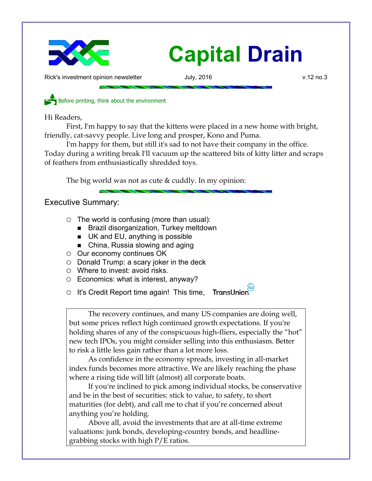

Rick's investment opinion newsletter and July, 2016 v.12 no.3

Before printing, think about the environment

Hi Readers,

First, I'm happy to say that the kittens were placed in a new home with bright, friendly, cat-savvy people. Live long and prosper, Kono and Puma.

I'm happy for them, but still it's sad to not have their company in the office. Today during a writing break I'll vacuum up the scattered bits of kitty litter and scraps of feathers from enthusiastically shredded toys.

The big world was not as cute  $&$  cuddly. In my opinion:

# Executive Summary:

- $\circ$  The world is confusing (more than usual):
	- Brazil disorganization, Turkey meltdown
	- UK and EU, anything is possible
	- China, Russia slowing and aging
- Our economy continues OK
- $\circ$  Donald Trump: a scary joker in the deck
- Where to invest: avoid risks.
- Economics: what is interest, anyway?
- o It's Credit Report time again! This time, TransUnion.

The recovery continues, and many US companies are doing well, but some prices reflect high continued growth expectations. If you're holding shares of any of the conspicuous high-fliers, especially the "hot" new tech IPOs, you might consider selling into this enthusiasm. Better to risk a little less gain rather than a lot more loss.

As confidence in the economy spreads, investing in all-market index funds becomes more attractive. We are likely reaching the phase where a rising tide will lift (almost) all corporate boats.

If you're inclined to pick among individual stocks, be conservative and be in the best of securities: stick to value, to safety, to short maturities (for debt), and call me to chat if you're concerned about anything you're holding.

Above all, avoid the investments that are at all-time extreme valuations: junk bonds, developing-country bonds, and headlinegrabbing stocks with high P/E ratios.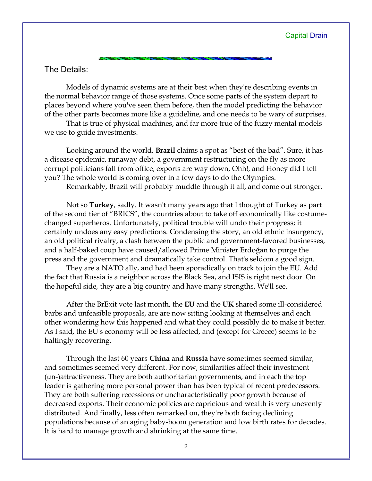## The Details:

Models of dynamic systems are at their best when they're describing events in the normal behavior range of those systems. Once some parts of the system depart to places beyond where you've seen them before, then the model predicting the behavior of the other parts becomes more like a guideline, and one needs to be wary of surprises.

That is true of physical machines, and far more true of the fuzzy mental models we use to guide investments.

Looking around the world, **Brazil** claims a spot as "best of the bad". Sure, it has a disease epidemic, runaway debt, a government restructuring on the fly as more corrupt politicians fall from office, exports are way down, Ohh!, and Honey did I tell you? The whole world is coming over in a few days to do the Olympics.

Remarkably, Brazil will probably muddle through it all, and come out stronger.

Not so **Turkey**, sadly. It wasn't many years ago that I thought of Turkey as part of the second tier of "BRICS", the countries about to take off economically like costumechanged superheros. Unfortunately, political trouble will undo their progress; it certainly undoes any easy predictions. Condensing the story, an old ethnic insurgency, an old political rivalry, a clash between the public and government-favored businesses, and a half-baked coup have caused/allowed Prime Minister Erdoğan to purge the press and the government and dramatically take control. That's seldom a good sign.

They are a NATO ally, and had been sporadically on track to join the EU. Add the fact that Russia is a neighbor across the Black Sea, and ISIS is right next door. On the hopeful side, they are a big country and have many strengths. We'll see.

After the BrExit vote last month, the **EU** and the **UK** shared some ill-considered barbs and unfeasible proposals, are are now sitting looking at themselves and each other wondering how this happened and what they could possibly do to make it better. As I said, the EU's economy will be less affected, and (except for Greece) seems to be haltingly recovering.

Through the last 60 years **China** and **Russia** have sometimes seemed similar, and sometimes seemed very different. For now, similarities affect their investment (un-)attractiveness. They are both authoritarian governments, and in each the top leader is gathering more personal power than has been typical of recent predecessors. They are both suffering recessions or uncharacteristically poor growth because of decreased exports. Their economic policies are capricious and wealth is very unevenly distributed. And finally, less often remarked on, they're both facing declining populations because of an aging baby-boom generation and low birth rates for decades. It is hard to manage growth and shrinking at the same time.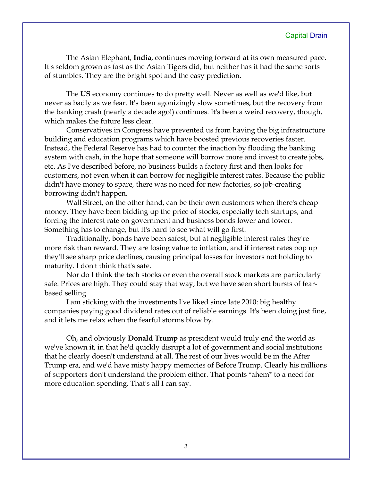The Asian Elephant, **India**, continues moving forward at its own measured pace. It's seldom grown as fast as the Asian Tigers did, but neither has it had the same sorts of stumbles. They are the bright spot and the easy prediction.

The **US** economy continues to do pretty well. Never as well as we'd like, but never as badly as we fear. It's been agonizingly slow sometimes, but the recovery from the banking crash (nearly a decade ago!) continues. It's been a weird recovery, though, which makes the future less clear.

Conservatives in Congress have prevented us from having the big infrastructure building and education programs which have boosted previous recoveries faster. Instead, the Federal Reserve has had to counter the inaction by flooding the banking system with cash, in the hope that someone will borrow more and invest to create jobs, etc. As I've described before, no business builds a factory first and then looks for customers, not even when it can borrow for negligible interest rates. Because the public didn't have money to spare, there was no need for new factories, so job-creating borrowing didn't happen.

Wall Street, on the other hand, can be their own customers when there's cheap money. They have been bidding up the price of stocks, especially tech startups, and forcing the interest rate on government and business bonds lower and lower. Something has to change, but it's hard to see what will go first.

Traditionally, bonds have been safest, but at negligible interest rates they're more risk than reward. They are losing value to inflation, and if interest rates pop up they'll see sharp price declines, causing principal losses for investors not holding to maturity. I don't think that's safe.

Nor do I think the tech stocks or even the overall stock markets are particularly safe. Prices are high. They could stay that way, but we have seen short bursts of fearbased selling.

I am sticking with the investments I've liked since late 2010: big healthy companies paying good dividend rates out of reliable earnings. It's been doing just fine, and it lets me relax when the fearful storms blow by.

Oh, and obviously **Donald Trump** as president would truly end the world as we've known it, in that he'd quickly disrupt a lot of government and social institutions that he clearly doesn't understand at all. The rest of our lives would be in the After Trump era, and we'd have misty happy memories of Before Trump. Clearly his millions of supporters don't understand the problem either. That points \*ahem\* to a need for more education spending. That's all I can say.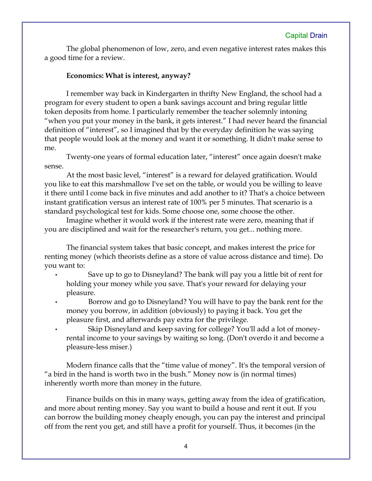The global phenomenon of low, zero, and even negative interest rates makes this a good time for a review.

#### **Economics: What is interest, anyway?**

I remember way back in Kindergarten in thrifty New England, the school had a program for every student to open a bank savings account and bring regular little token deposits from home. I particularly remember the teacher solemnly intoning "when you put your money in the bank, it gets interest." I had never heard the financial definition of "interest", so I imagined that by the everyday definition he was saying that people would look at the money and want it or something. It didn't make sense to me.

Twenty-one years of formal education later, "interest" once again doesn't make sense.

At the most basic level, "interest" is a reward for delayed gratification. Would you like to eat this marshmallow I've set on the table, or would you be willing to leave it there until I come back in five minutes and add another to it? That's a choice between instant gratification versus an interest rate of 100% per 5 minutes. That scenario is a standard psychological test for kids. Some choose one, some choose the other.

Imagine whether it would work if the interest rate were zero, meaning that if you are disciplined and wait for the researcher's return, you get... nothing more.

The financial system takes that basic concept, and makes interest the price for renting money (which theorists define as a store of value across distance and time). Do you want to:

- Save up to go to Disneyland? The bank will pay you a little bit of rent for holding your money while you save. That's your reward for delaying your pleasure.
- Borrow and go to Disneyland? You will have to pay the bank rent for the money you borrow, in addition (obviously) to paying it back. You get the pleasure first, and afterwards pay extra for the privilege.
- Skip Disneyland and keep saving for college? You'll add a lot of moneyrental income to your savings by waiting so long. (Don't overdo it and become a pleasure-less miser.)

Modern finance calls that the "time value of money". It's the temporal version of "a bird in the hand is worth two in the bush." Money now is (in normal times) inherently worth more than money in the future.

Finance builds on this in many ways, getting away from the idea of gratification, and more about renting money. Say you want to build a house and rent it out. If you can borrow the building money cheaply enough, you can pay the interest and principal off from the rent you get, and still have a profit for yourself. Thus, it becomes (in the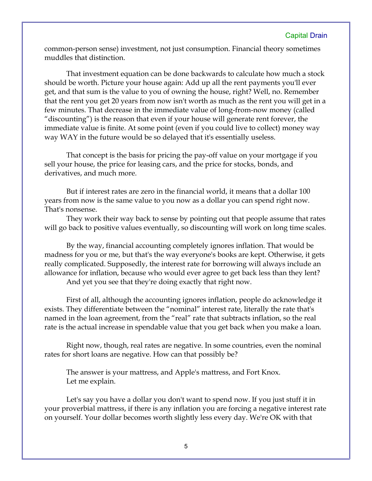common-person sense) investment, not just consumption. Financial theory sometimes muddles that distinction.

That investment equation can be done backwards to calculate how much a stock should be worth. Picture your house again: Add up all the rent payments you'll ever get, and that sum is the value to you of owning the house, right? Well, no. Remember that the rent you get 20 years from now isn't worth as much as the rent you will get in a few minutes. That decrease in the immediate value of long-from-now money (called "discounting") is the reason that even if your house will generate rent forever, the immediate value is finite. At some point (even if you could live to collect) money way way WAY in the future would be so delayed that it's essentially useless.

That concept is the basis for pricing the pay-off value on your mortgage if you sell your house, the price for leasing cars, and the price for stocks, bonds, and derivatives, and much more.

But if interest rates are zero in the financial world, it means that a dollar 100 years from now is the same value to you now as a dollar you can spend right now. That's nonsense.

They work their way back to sense by pointing out that people assume that rates will go back to positive values eventually, so discounting will work on long time scales.

By the way, financial accounting completely ignores inflation. That would be madness for you or me, but that's the way everyone's books are kept. Otherwise, it gets really complicated. Supposedly, the interest rate for borrowing will always include an allowance for inflation, because who would ever agree to get back less than they lent? And yet you see that they're doing exactly that right now.

First of all, although the accounting ignores inflation, people do acknowledge it exists. They differentiate between the "nominal" interest rate, literally the rate that's named in the loan agreement, from the "real" rate that subtracts inflation, so the real rate is the actual increase in spendable value that you get back when you make a loan.

Right now, though, real rates are negative. In some countries, even the nominal rates for short loans are negative. How can that possibly be?

The answer is your mattress, and Apple's mattress, and Fort Knox. Let me explain.

Let's say you have a dollar you don't want to spend now. If you just stuff it in your proverbial mattress, if there is any inflation you are forcing a negative interest rate on yourself. Your dollar becomes worth slightly less every day. We're OK with that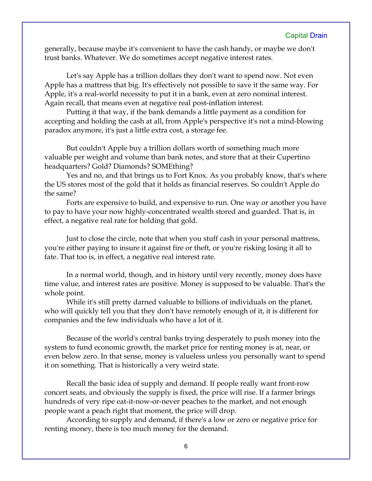generally, because maybe it's convenient to have the cash handy, or maybe we don't trust banks. Whatever. We do sometimes accept negative interest rates.

Let's say Apple has a trillion dollars they don't want to spend now. Not even Apple has a mattress that big. It's effectively not possible to save it the same way. For Apple, it's a real-world necessity to put it in a bank, even at zero nominal interest. Again recall, that means even at negative real post-inflation interest.

Putting it that way, if the bank demands a little payment as a condition for accepting and holding the cash at all, from Apple's perspective it's not a mind-blowing paradox anymore, it's just a little extra cost, a storage fee.

But couldn't Apple buy a trillion dollars worth of something much more valuable per weight and volume than bank notes, and store that at their Cupertino headquarters? Gold? Diamonds? SOMEthing?

Yes and no, and that brings us to Fort Knox. As you probably know, that's where the US stores most of the gold that it holds as financial reserves. So couldn't Apple do the same?

Forts are expensive to build, and expensive to run. One way or another you have to pay to have your now highly-concentrated wealth stored and guarded. That is, in effect, a negative real rate for holding that gold.

Just to close the circle, note that when you stuff cash in your personal mattress, you're either paying to insure it against fire or theft, or you're risking losing it all to fate. That too is, in effect, a negative real interest rate.

In a normal world, though, and in history until very recently, money does have time value, and interest rates are positive. Money is supposed to be valuable. That's the whole point.

While it's still pretty darned valuable to billions of individuals on the planet, who will quickly tell you that they don't have remotely enough of it, it is different for companies and the few individuals who have a lot of it.

Because of the world's central banks trying desperately to push money into the system to fund economic growth, the market price for renting money is at, near, or even below zero. In that sense, money is valueless unless you personally want to spend it on something. That is historically a very weird state.

Recall the basic idea of supply and demand. If people really want front-row concert seats, and obviously the supply is fixed, the price will rise. If a farmer brings hundreds of very ripe eat-it-now-or-never peaches to the market, and not enough people want a peach right that moment, the price will drop.

According to supply and demand, if there's a low or zero or negative price for renting money, there is too much money for the demand.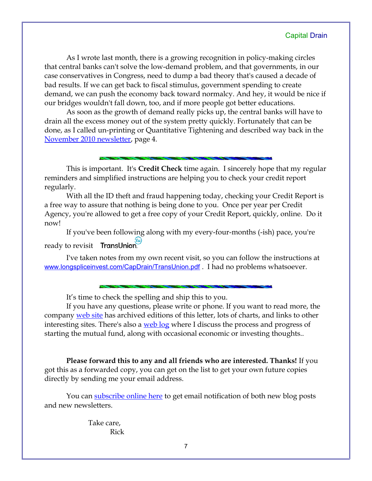As I wrote last month, there is a growing recognition in policy-making circles that central banks can't solve the low-demand problem, and that governments, in our case conservatives in Congress, need to dump a bad theory that's caused a decade of bad results. If we can get back to fiscal stimulus, government spending to create demand, we can push the economy back toward normalcy. And hey, it would be nice if our bridges wouldn't fall down, too, and if more people got better educations.

As soon as the growth of demand really picks up, the central banks will have to drain all the excess money out of the system pretty quickly. Fortunately that can be done, as I called un-printing or Quantitative Tightening and described way back in the [November 2010 newsletter,](http://www.longspliceinvest.com/CapDrain/CapDrain_v6n4.pdf) page 4.

This is important. It's **Credit Check** time again. I sincerely hope that my regular reminders and simplified instructions are helping you to check your credit report regularly.

With all the ID theft and fraud happening today, checking your Credit Report is a free way to assure that nothing is being done to you. Once per year per Credit Agency, you're allowed to get a free copy of your Credit Report, quickly, online. Do it now!

If you've been following along with my every-four-months (-ish) pace, you're ready to revisit TransUnion.

I've taken notes from my own recent visit, so you can follow the instructions at [www.longspliceinvest.com/CapDrain/TransUnion.pdf](http://www.longspliceinvest.com/CapDrain/TransUnion.pdf) . I had no problems whatsoever.

It's time to check the spelling and ship this to you.

If you have any questions, please write or phone. If you want to read more, the company [web site](http://www.LongspliceInvest.com/newsletter.shtml) has archived editions of this letter, lots of charts, and links to other interesting sites. There's also a [web log](http://www.LongspliceInvestments.com/ricksblog) where I discuss the process and progress of starting the mutual fund, along with occasional economic or investing thoughts..

**Please forward this to any and all friends who are interested. Thanks!** If you got this as a forwarded copy, you can get on the list to get your own future copies directly by sending me your email address.

You can [subscribe online here](http://www.longspliceinvest.com/ricksblog/subscribe/) to get email notification of both new blog posts and new newsletters.

> Take care, Rick